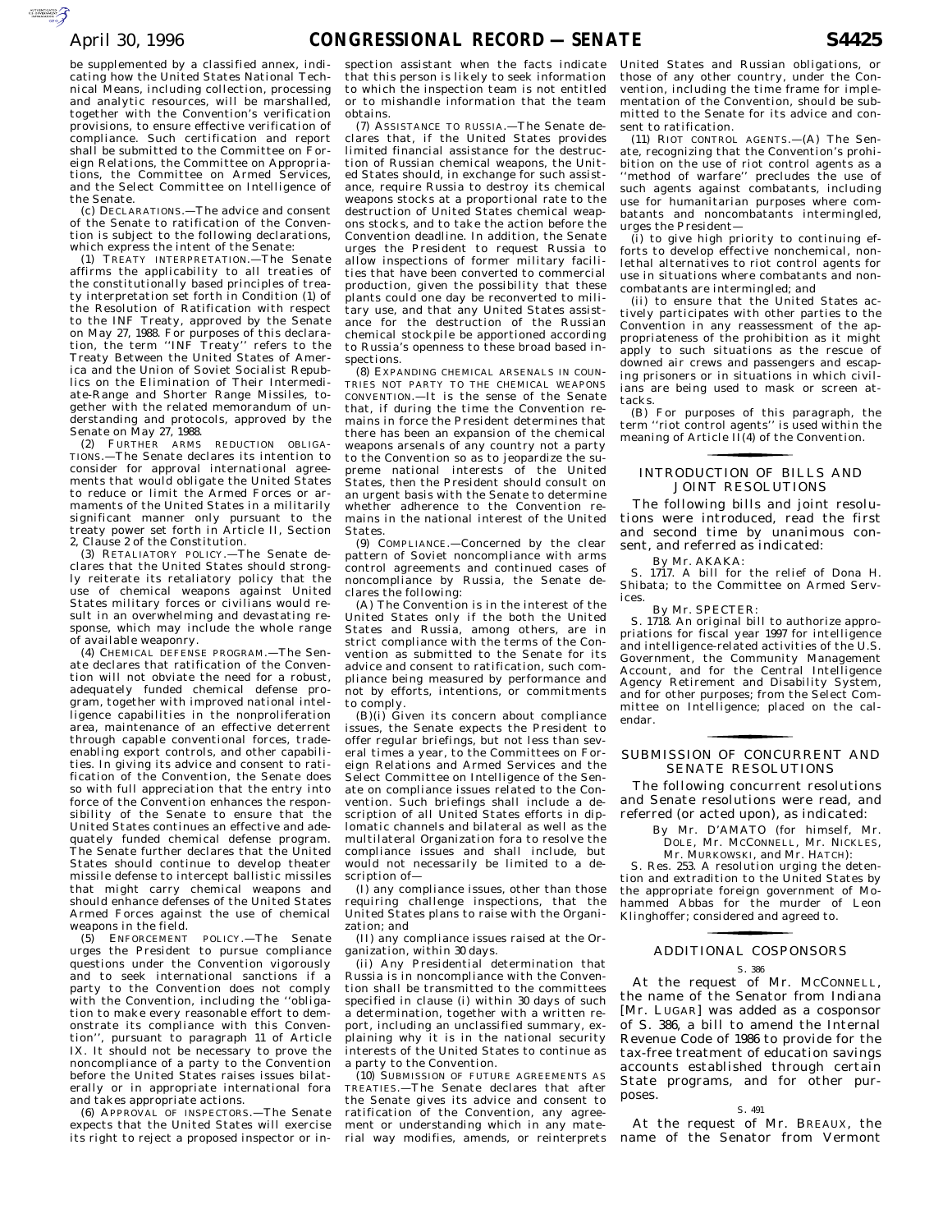be supplemented by a classified annex, indicating how the United States National Technical Means, including collection, processing and analytic resources, will be marshalled, together with the Convention's verification provisions, to ensure effective verification of compliance. Such certification and report shall be submitted to the Committee on Foreign Relations, the Committee on Appropriations, the Committee on Armed Services, and the Select Committee on Intelligence of the Senate.

(c) DECLARATIONS.—The advice and consent of the Senate to ratification of the Convention is subject to the following declarations, which express the intent of the Senate:

(1) TREATY INTERPRETATION.—The Senate affirms the applicability to all treaties of the constitutionally based principles of treaty interpretation set forth in Condition (1) of the Resolution of Ratification with respect to the INF Treaty, approved by the Senate on May 27, 1988. For purposes of this declara-tion, the term ''INF Treaty'' refers to the Treaty Between the United States of America and the Union of Soviet Socialist Republics on the Elimination of Their Intermediate-Range and Shorter Range Missiles, together with the related memorandum of understanding and protocols, approved by the Senate on May 27, 1988.

(2) FURTHER ARMS REDUCTION OBLIGA-TIONS.—The Senate declares its intention to consider for approval international agreements that would obligate the United States to reduce or limit the Armed Forces or armaments of the United States in a militarily significant manner only pursuant to the treaty power set forth in Article II, Section 2, Clause 2 of the Constitution.

(3) RETALIATORY POLICY.—The Senate declares that the United States should strongly reiterate its retaliatory policy that the use of chemical weapons against United States military forces or civilians would result in an overwhelming and devastating response, which may include the whole range of available weaponry.

(4) CHEMICAL DEFENSE PROGRAM.—The Senate declares that ratification of the Convention will not obviate the need for a robust, adequately funded chemical defense program, together with improved national intelligence capabilities in the nonproliferation area, maintenance of an effective deterrent through capable conventional forces, tradeenabling export controls, and other capabilities. In giving its advice and consent to ratification of the Convention, the Senate does so with full appreciation that the entry into force of the Convention enhances the responsibility of the Senate to ensure that the United States continues an effective and adequately funded chemical defense program. The Senate further declares that the United States should continue to develop theater missile defense to intercept ballistic missiles that might carry chemical weapons and should enhance defenses of the United States Armed Forces against the use of chemical weapons in the field.

(5) ENFORCEMENT POLICY.—The Senate urges the President to pursue compliance questions under the Convention vigorously and to seek international sanctions if a party to the Convention does not comply with the Convention, including the ''obligation to make every reasonable effort to demonstrate its compliance with this Convention'', pursuant to paragraph 11 of Article IX. It should not be necessary to prove the noncompliance of a party to the Convention before the United States raises issues bilaterally or in appropriate international fora and takes appropriate actions.

(6) APPROVAL OF INSPECTORS.—The Senate expects that the United States will exercise its right to reject a proposed inspector or in-

spection assistant when the facts indicate that this person is likely to seek information to which the inspection team is not entitled or to mishandle information that the team obtains.

(7) ASSISTANCE TO RUSSIA.—The Senate declares that, if the United States provides limited financial assistance for the destruction of Russian chemical weapons, the United States should, in exchange for such assistance, require Russia to destroy its chemical weapons stocks at a proportional rate to the destruction of United States chemical weapons stocks, and to take the action before the Convention deadline. In addition, the Senate urges the President to request Russia to allow inspections of former military facilities that have been converted to commercial production, given the possibility that these plants could one day be reconverted to military use, and that any United States assistance for the destruction of the Russian chemical stockpile be apportioned according to Russia's openness to these broad based inspections.

(8) EXPANDING CHEMICAL ARSENALS IN COUN-TRIES NOT PARTY TO THE CHEMICAL WEAPONS CONVENTION.—It is the sense of the Senate that, if during the time the Convention remains in force the President determines that there has been an expansion of the chemical weapons arsenals of any country not a party to the Convention so as to jeopardize the supreme national interests of the United States, then the President should consult on an urgent basis with the Senate to determine whether adherence to the Convention remains in the national interest of the United **States** 

(9) COMPLIANCE.—Concerned by the clear pattern of Soviet noncompliance with arms control agreements and continued cases of noncompliance by Russia, the Senate declares the following:

(A) The Convention is in the interest of the United States only if the both the United States and Russia, among others, are in strict compliance with the terms of the Convention as submitted to the Senate for its advice and consent to ratification, such compliance being measured by performance and not by efforts, intentions, or commitments to comply.

 $(B)(i)$  Given its concern about compliance issues, the Senate expects the President to offer regular briefings, but not less than several times a year, to the Committees on Foreign Relations and Armed Services and the Select Committee on Intelligence of the Senate on compliance issues related to the Convention. Such briefings shall include a description of all United States efforts in diplomatic channels and bilateral as well as the multilateral Organization fora to resolve the compliance issues and shall include, but would not necessarily be limited to a description of—

 $(I)$  any compliance issues, other than those requiring challenge inspections, that the United States plans to raise with the Organization; and

(II) any compliance issues raised at the Organization, within 30 days.

(ii) Any Presidential determination that Russia is in noncompliance with the Convention shall be transmitted to the committees specified in clause (i) within 30 days of such a determination, together with a written report, including an unclassified summary, explaining why it is in the national security interests of the United States to continue as a party to the Convention.

(10) SUBMISSION OF FUTURE AGREEMENTS AS TREATIES.—The Senate declares that after the Senate gives its advice and consent to ratification of the Convention, any agreement or understanding which in any material way modifies, amends, or reinterprets United States and Russian obligations, or those of any other country, under the Convention, including the time frame for implementation of the Convention, should be submitted to the Senate for its advice and consent to ratification.

(11) RIOT CONTROL AGENTS.—(A) The Senate, recognizing that the Convention's prohibition on the use of riot control agents as a ''method of warfare'' precludes the use of such agents against combatants, including use for humanitarian purposes where combatants and noncombatants intermingled, urges the President—

(i) to give high priority to continuing efforts to develop effective nonchemical, nonlethal alternatives to riot control agents for use in situations where combatants and noncombatants are intermingled; and

(ii) to ensure that the United States actively participates with other parties to the Convention in any reassessment of the appropriateness of the prohibition as it might apply to such situations as the rescue of downed air crews and passengers and escaping prisoners or in situations in which civilians are being used to mask or screen attacks.

(B) For purposes of this paragraph, the term ''riot control agents'' is used within the meaning of Article II(4) of the Convention.

# INTRODUCTION OF BILLS AND JOINT RESOLUTIONS for the contract of the contract of

The following bills and joint resolutions were introduced, read the first and second time by unanimous consent, and referred as indicated:

By Mr. AKAKA:

1717. A bill for the relief of Dona H. Shibata; to the Committee on Armed Services.

By Mr. SPECTER:

S. 1718. An original bill to authorize appropriations for fiscal year 1997 for intelligence and intelligence-related activities of the U.S. Government, the Community Management Account, and for the Central Intelligence Agency Retirement and Disability System, and for other purposes; from the Select Committee on Intelligence; placed on the calendar.

# SUBMISSION OF CONCURRENT AND SENATE RESOLUTIONS for the contract of the contract of

The following concurrent resolutions and Senate resolutions were read, and referred (or acted upon), as indicated:

By Mr. D'AMATO (for himself, Mr. DOLE, Mr. MCCONNELL, Mr. NICKLES, Mr. MURKOWSKI, and Mr. HATCH):

S. Res. 253. A resolution urging the detention and extradition to the United States by the appropriate foreign government of Mohammed Abbas for the murder of Leon Klinghoffer; considered and agreed to.

# ADDITIONAL COSPONSORS for the control of the control of

### S. 386

At the request of Mr. MCCONNELL, the name of the Senator from Indiana [Mr. LUGAR] was added as a cosponsor of S. 386, a bill to amend the Internal Revenue Code of 1986 to provide for the tax-free treatment of education savings accounts established through certain State programs, and for other purposes.

## S. 491

At the request of Mr. BREAUX, the name of the Senator from Vermont